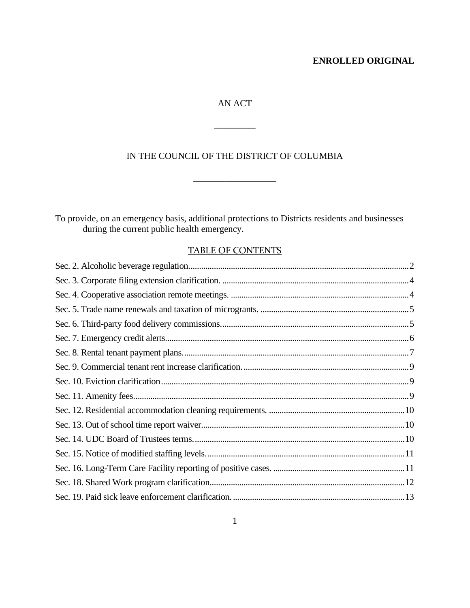# AN ACT

\_\_\_\_\_\_\_\_\_

# IN THE COUNCIL OF THE DISTRICT OF COLUMBIA

 $\mathcal{L}=\mathcal{L}=\mathcal{L}=\mathcal{L}=\mathcal{L}=\mathcal{L}=\mathcal{L}=\mathcal{L}=\mathcal{L}=\mathcal{L}=\mathcal{L}=\mathcal{L}=\mathcal{L}=\mathcal{L}=\mathcal{L}=\mathcal{L}=\mathcal{L}=\mathcal{L}=\mathcal{L}=\mathcal{L}=\mathcal{L}=\mathcal{L}=\mathcal{L}=\mathcal{L}=\mathcal{L}=\mathcal{L}=\mathcal{L}=\mathcal{L}=\mathcal{L}=\mathcal{L}=\mathcal{L}=\mathcal{L}=\mathcal{L}=\mathcal{L}=\mathcal{L}=\mathcal{L}=\mathcal{$ 

To provide, on an emergency basis, additional protections to Districts residents and businesses during the current public health emergency.

# TABLE OF CONTENTS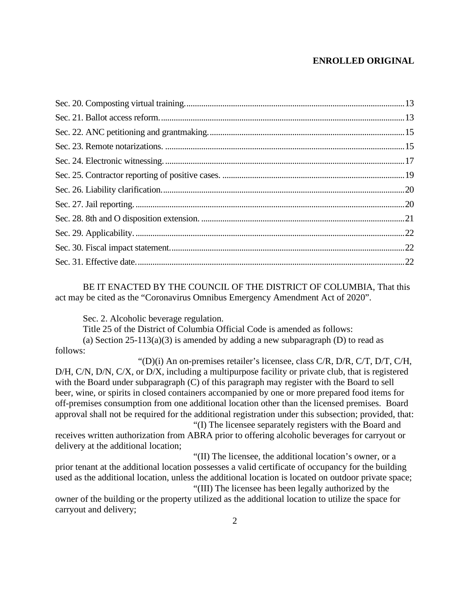BE IT ENACTED BY THE COUNCIL OF THE DISTRICT OF COLUMBIA, That this act may be cited as the "Coronavirus Omnibus Emergency Amendment Act of 2020".

Sec. 2. Alcoholic beverage regulation.

Title 25 of the District of Columbia Official Code is amended as follows:

(a) Section 25-113(a)(3) is amended by adding a new subparagraph (D) to read as follows:

" $(D)(i)$  An on-premises retailer's licensee, class C/R, D/R, C/T, D/T, C/H, D/H, C/N, D/N, C/X, or D/X, including a multipurpose facility or private club, that is registered with the Board under subparagraph (C) of this paragraph may register with the Board to sell beer, wine, or spirits in closed containers accompanied by one or more prepared food items for off-premises consumption from one additional location other than the licensed premises. Board approval shall not be required for the additional registration under this subsection; provided, that:

"(I) The licensee separately registers with the Board and receives written authorization from ABRA prior to offering alcoholic beverages for carryout or delivery at the additional location;

"(II) The licensee, the additional location's owner, or a prior tenant at the additional location possesses a valid certificate of occupancy for the building used as the additional location, unless the additional location is located on outdoor private space; "(III) The licensee has been legally authorized by the

owner of the building or the property utilized as the additional location to utilize the space for carryout and delivery;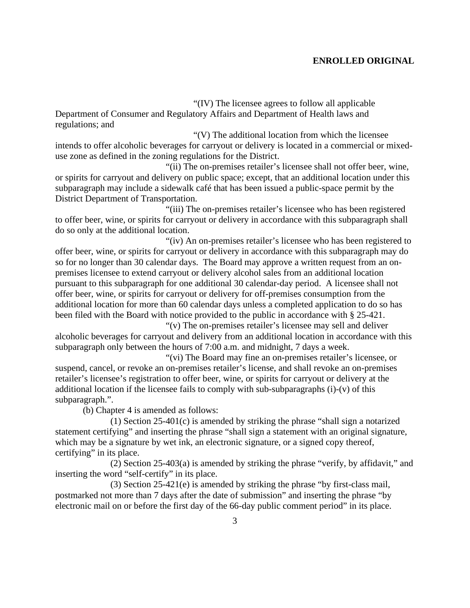"(IV) The licensee agrees to follow all applicable Department of Consumer and Regulatory Affairs and Department of Health laws and regulations; and

"(V) The additional location from which the licensee intends to offer alcoholic beverages for carryout or delivery is located in a commercial or mixeduse zone as defined in the zoning regulations for the District.

"(ii) The on-premises retailer's licensee shall not offer beer, wine, or spirits for carryout and delivery on public space; except, that an additional location under this subparagraph may include a sidewalk café that has been issued a public-space permit by the District Department of Transportation.

"(iii) The on-premises retailer's licensee who has been registered to offer beer, wine, or spirits for carryout or delivery in accordance with this subparagraph shall do so only at the additional location.

"(iv) An on-premises retailer's licensee who has been registered to offer beer, wine, or spirits for carryout or delivery in accordance with this subparagraph may do so for no longer than 30 calendar days. The Board may approve a written request from an onpremises licensee to extend carryout or delivery alcohol sales from an additional location pursuant to this subparagraph for one additional 30 calendar-day period. A licensee shall not offer beer, wine, or spirits for carryout or delivery for off-premises consumption from the additional location for more than 60 calendar days unless a completed application to do so has been filed with the Board with notice provided to the public in accordance with § 25-421.

"(v) The on-premises retailer's licensee may sell and deliver alcoholic beverages for carryout and delivery from an additional location in accordance with this subparagraph only between the hours of 7:00 a.m. and midnight, 7 days a week.

"(vi) The Board may fine an on-premises retailer's licensee, or suspend, cancel, or revoke an on-premises retailer's license, and shall revoke an on-premises retailer's licensee's registration to offer beer, wine, or spirits for carryout or delivery at the additional location if the licensee fails to comply with sub-subparagraphs (i)-(v) of this subparagraph.".

(b) Chapter 4 is amended as follows:

(1) Section 25-401(c) is amended by striking the phrase "shall sign a notarized statement certifying" and inserting the phrase "shall sign a statement with an original signature, which may be a signature by wet ink, an electronic signature, or a signed copy thereof, certifying" in its place.

(2) Section 25-403(a) is amended by striking the phrase "verify, by affidavit," and inserting the word "self-certify" in its place.

(3) Section 25-421(e) is amended by striking the phrase "by first-class mail, postmarked not more than 7 days after the date of submission" and inserting the phrase "by electronic mail on or before the first day of the 66-day public comment period" in its place.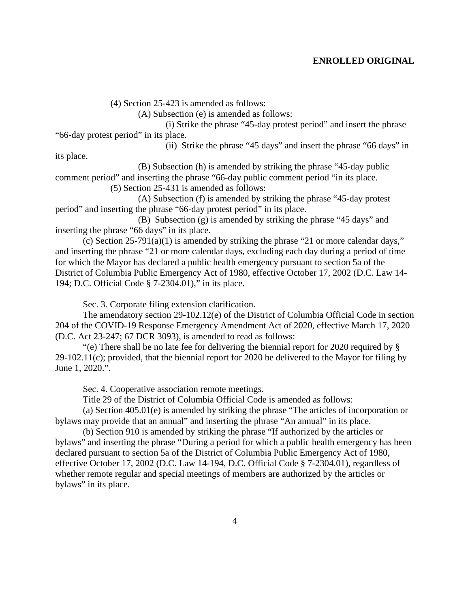(4) Section 25-423 is amended as follows:

(A) Subsection (e) is amended as follows:

(i) Strike the phrase "45-day protest period" and insert the phrase "66-day protest period" in its place.

(ii) Strike the phrase "45 days" and insert the phrase "66 days" in

its place.

(B) Subsection (h) is amended by striking the phrase "45-day public comment period" and inserting the phrase "66-day public comment period "in its place.

(5) Section 25-431 is amended as follows:

(A) Subsection (f) is amended by striking the phrase "45-day protest period" and inserting the phrase "66-day protest period" in its place.

(B) Subsection (g) is amended by striking the phrase "45 days" and inserting the phrase "66 days" in its place.

(c) Section 25-791(a)(1) is amended by striking the phrase "21 or more calendar days," and inserting the phrase "21 or more calendar days, excluding each day during a period of time for which the Mayor has declared a public health emergency pursuant to section 5a of the District of Columbia Public Emergency Act of 1980, effective October 17, 2002 (D.C. Law 14- 194; D.C. Official Code § 7-2304.01)," in its place.

Sec. 3. Corporate filing extension clarification.

The amendatory section 29-102.12(e) of the District of Columbia Official Code in section 204 of the COVID-19 Response Emergency Amendment Act of 2020, effective March 17, 2020 (D.C. Act 23-247; 67 DCR 3093), is amended to read as follows:

"(e) There shall be no late fee for delivering the biennial report for 2020 required by § 29-102.11(c); provided, that the biennial report for 2020 be delivered to the Mayor for filing by June 1, 2020.".

Sec. 4. Cooperative association remote meetings.

Title 29 of the District of Columbia Official Code is amended as follows:

(a) Section 405.01(e) is amended by striking the phrase "The articles of incorporation or bylaws may provide that an annual" and inserting the phrase "An annual" in its place.

(b) Section 910 is amended by striking the phrase "If authorized by the articles or bylaws" and inserting the phrase "During a period for which a public health emergency has been declared pursuant to section 5a of the District of Columbia Public Emergency Act of 1980, effective October 17, 2002 (D.C. Law 14-194, D.C. Official Code § 7-2304.01), regardless of whether remote regular and special meetings of members are authorized by the articles or bylaws" in its place.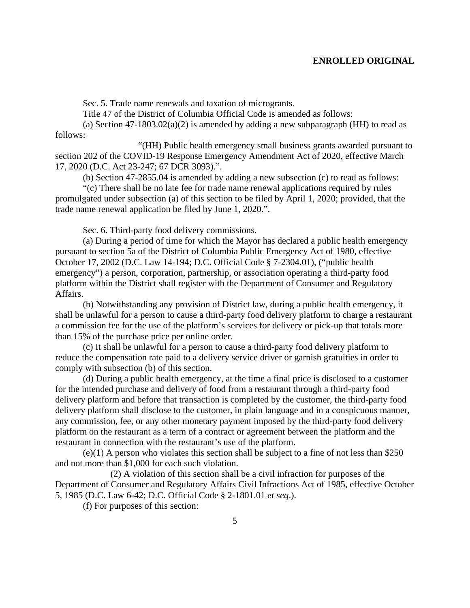Sec. 5. Trade name renewals and taxation of microgrants.

Title 47 of the District of Columbia Official Code is amended as follows:

(a) Section  $47-1803.02(a)(2)$  is amended by adding a new subparagraph (HH) to read as follows:

"(HH) Public health emergency small business grants awarded pursuant to section 202 of the COVID-19 Response Emergency Amendment Act of 2020, effective March 17, 2020 (D.C. Act 23-247; 67 DCR 3093).".

(b) Section 47-2855.04 is amended by adding a new subsection (c) to read as follows:

"(c) There shall be no late fee for trade name renewal applications required by rules promulgated under subsection (a) of this section to be filed by April 1, 2020; provided, that the trade name renewal application be filed by June 1, 2020.".

Sec. 6. Third-party food delivery commissions.

(a) During a period of time for which the Mayor has declared a public health emergency pursuant to section 5a of the District of Columbia Public Emergency Act of 1980, effective October 17, 2002 (D.C. Law 14-194; D.C. Official Code § 7-2304.01), ("public health emergency") a person, corporation, partnership, or association operating a third-party food platform within the District shall register with the Department of Consumer and Regulatory Affairs.

(b) Notwithstanding any provision of District law, during a public health emergency, it shall be unlawful for a person to cause a third-party food delivery platform to charge a restaurant a commission fee for the use of the platform's services for delivery or pick-up that totals more than 15% of the purchase price per online order.

(c) It shall be unlawful for a person to cause a third-party food delivery platform to reduce the compensation rate paid to a delivery service driver or garnish gratuities in order to comply with subsection (b) of this section.

(d) During a public health emergency, at the time a final price is disclosed to a customer for the intended purchase and delivery of food from a restaurant through a third-party food delivery platform and before that transaction is completed by the customer, the third-party food delivery platform shall disclose to the customer, in plain language and in a conspicuous manner, any commission, fee, or any other monetary payment imposed by the third-party food delivery platform on the restaurant as a term of a contract or agreement between the platform and the restaurant in connection with the restaurant's use of the platform.

(e)(1) A person who violates this section shall be subject to a fine of not less than \$250 and not more than \$1,000 for each such violation.

(2) A violation of this section shall be a civil infraction for purposes of the Department of Consumer and Regulatory Affairs Civil Infractions Act of 1985, effective October 5, 1985 (D.C. Law 6-42; D.C. Official Code § 2-1801.01 *et seq*.).

(f) For purposes of this section: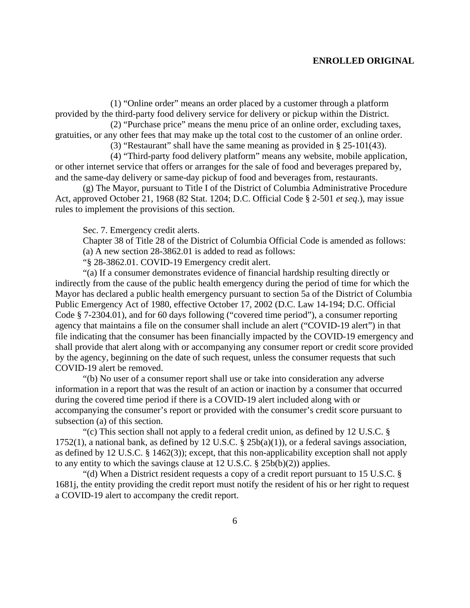(1) "Online order" means an order placed by a customer through a platform provided by the third-party food delivery service for delivery or pickup within the District.

(2) "Purchase price" means the menu price of an online order, excluding taxes, gratuities, or any other fees that may make up the total cost to the customer of an online order.

(3) "Restaurant" shall have the same meaning as provided in § 25-101(43).

(4) "Third-party food delivery platform" means any website, mobile application, or other internet service that offers or arranges for the sale of food and beverages prepared by, and the same-day delivery or same-day pickup of food and beverages from, restaurants.

(g) The Mayor, pursuant to Title I of the District of Columbia Administrative Procedure Act, approved October 21, 1968 (82 Stat. 1204; D.C. Official Code § 2-501 *et seq*.), may issue rules to implement the provisions of this section.

Sec. 7. Emergency credit alerts.

Chapter 38 of Title 28 of the District of Columbia Official Code is amended as follows: (a) A new section 28-3862.01 is added to read as follows:

"§ 28-3862.01. COVID-19 Emergency credit alert.

"(a) If a consumer demonstrates evidence of financial hardship resulting directly or indirectly from the cause of the public health emergency during the period of time for which the Mayor has declared a public health emergency pursuant to section 5a of the District of Columbia Public Emergency Act of 1980, effective October 17, 2002 (D.C. Law 14-194; D.C. Official Code § 7-2304.01), and for 60 days following ("covered time period"), a consumer reporting agency that maintains a file on the consumer shall include an alert ("COVID-19 alert") in that file indicating that the consumer has been financially impacted by the COVID-19 emergency and shall provide that alert along with or accompanying any consumer report or credit score provided by the agency, beginning on the date of such request, unless the consumer requests that such COVID-19 alert be removed.

"(b) No user of a consumer report shall use or take into consideration any adverse information in a report that was the result of an action or inaction by a consumer that occurred during the covered time period if there is a COVID-19 alert included along with or accompanying the consumer's report or provided with the consumer's credit score pursuant to subsection (a) of this section.

"(c) This section shall not apply to a federal credit union, as defined by 12 U.S.C. § 1752(1), a national bank, as defined by 12 U.S.C.  $\S$  25b(a)(1)), or a federal savings association, as defined by 12 U.S.C. § 1462(3)); except, that this non-applicability exception shall not apply to any entity to which the savings clause at  $12$  U.S.C.  $\S$  25b(b)(2)) applies.

"(d) When a District resident requests a copy of a credit report pursuant to 15 U.S.C. § 1681j, the entity providing the credit report must notify the resident of his or her right to request a COVID-19 alert to accompany the credit report.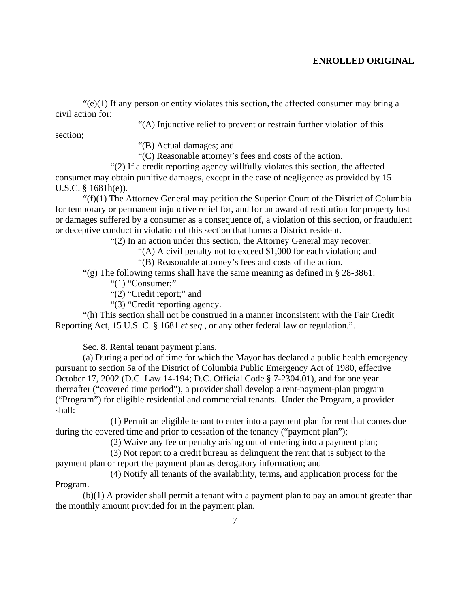$\mathcal{C}(e)(1)$  If any person or entity violates this section, the affected consumer may bring a civil action for:

"(A) Injunctive relief to prevent or restrain further violation of this

section;

"(B) Actual damages; and

"(C) Reasonable attorney's fees and costs of the action.

"(2) If a credit reporting agency willfully violates this section, the affected consumer may obtain punitive damages, except in the case of negligence as provided by 15 U.S.C. § 1681h(e)).

"(f)(1) The Attorney General may petition the Superior Court of the District of Columbia for temporary or permanent injunctive relief for, and for an award of restitution for property lost or damages suffered by a consumer as a consequence of, a violation of this section, or fraudulent or deceptive conduct in violation of this section that harms a District resident.

"(2) In an action under this section, the Attorney General may recover:

"(A) A civil penalty not to exceed \$1,000 for each violation; and

"(B) Reasonable attorney's fees and costs of the action.

"(g) The following terms shall have the same meaning as defined in  $\S$  28-3861:

" $(1)$  "Consumer;"

"(2) "Credit report;" and

"(3) "Credit reporting agency.

"(h) This section shall not be construed in a manner inconsistent with the Fair Credit Reporting Act, 15 U.S. C. § 1681 *et seq.*, or any other federal law or regulation.".

Sec. 8. Rental tenant payment plans.

(a) During a period of time for which the Mayor has declared a public health emergency pursuant to section 5a of the District of Columbia Public Emergency Act of 1980, effective October 17, 2002 (D.C. Law 14-194; D.C. Official Code § 7-2304.01), and for one year thereafter ("covered time period"), a provider shall develop a rent-payment-plan program ("Program") for eligible residential and commercial tenants. Under the Program, a provider shall:

(1) Permit an eligible tenant to enter into a payment plan for rent that comes due during the covered time and prior to cessation of the tenancy ("payment plan");

(2) Waive any fee or penalty arising out of entering into a payment plan;

(3) Not report to a credit bureau as delinquent the rent that is subject to the payment plan or report the payment plan as derogatory information; and

(4) Notify all tenants of the availability, terms, and application process for the Program.

(b)(1) A provider shall permit a tenant with a payment plan to pay an amount greater than the monthly amount provided for in the payment plan.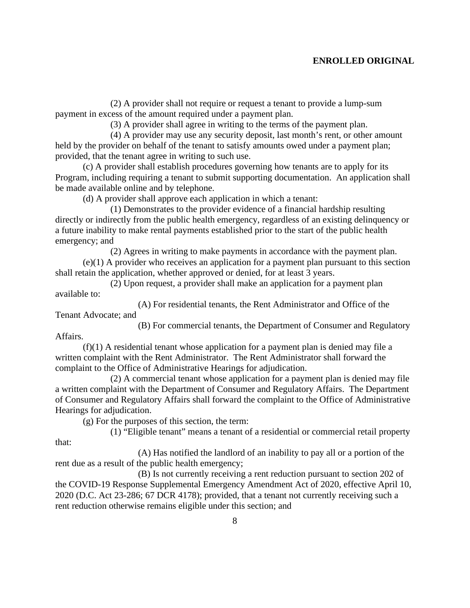(2) A provider shall not require or request a tenant to provide a lump-sum payment in excess of the amount required under a payment plan.

(3) A provider shall agree in writing to the terms of the payment plan.

(4) A provider may use any security deposit, last month's rent, or other amount held by the provider on behalf of the tenant to satisfy amounts owed under a payment plan; provided, that the tenant agree in writing to such use.

(c) A provider shall establish procedures governing how tenants are to apply for its Program, including requiring a tenant to submit supporting documentation. An application shall be made available online and by telephone.

(d) A provider shall approve each application in which a tenant:

(1) Demonstrates to the provider evidence of a financial hardship resulting directly or indirectly from the public health emergency, regardless of an existing delinquency or a future inability to make rental payments established prior to the start of the public health emergency; and

(2) Agrees in writing to make payments in accordance with the payment plan.

(e)(1) A provider who receives an application for a payment plan pursuant to this section shall retain the application, whether approved or denied, for at least 3 years.

(2) Upon request, a provider shall make an application for a payment plan available to:

(A) For residential tenants, the Rent Administrator and Office of the Tenant Advocate; and

(B) For commercial tenants, the Department of Consumer and Regulatory Affairs.

(f)(1) A residential tenant whose application for a payment plan is denied may file a written complaint with the Rent Administrator. The Rent Administrator shall forward the complaint to the Office of Administrative Hearings for adjudication.

(2) A commercial tenant whose application for a payment plan is denied may file a written complaint with the Department of Consumer and Regulatory Affairs. The Department of Consumer and Regulatory Affairs shall forward the complaint to the Office of Administrative Hearings for adjudication.

(g) For the purposes of this section, the term:

(1) "Eligible tenant" means a tenant of a residential or commercial retail property

that:

(A) Has notified the landlord of an inability to pay all or a portion of the rent due as a result of the public health emergency;

(B) Is not currently receiving a rent reduction pursuant to section 202 of the COVID-19 Response Supplemental Emergency Amendment Act of 2020, effective April 10, 2020 (D.C. Act 23-286; 67 DCR 4178); provided, that a tenant not currently receiving such a rent reduction otherwise remains eligible under this section; and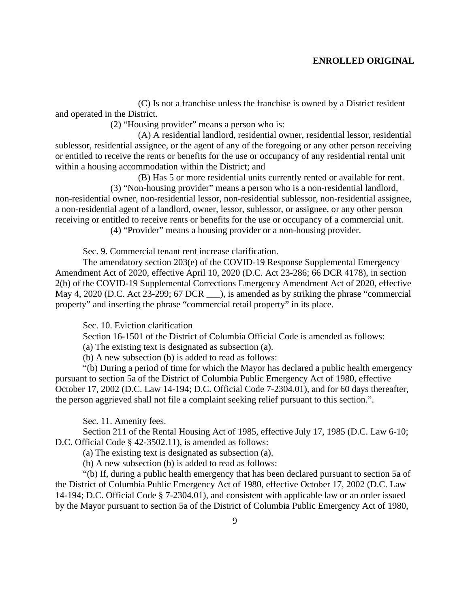(C) Is not a franchise unless the franchise is owned by a District resident and operated in the District.

(2) "Housing provider" means a person who is:

(A) A residential landlord, residential owner, residential lessor, residential sublessor, residential assignee, or the agent of any of the foregoing or any other person receiving or entitled to receive the rents or benefits for the use or occupancy of any residential rental unit within a housing accommodation within the District; and

(B) Has 5 or more residential units currently rented or available for rent. (3) "Non-housing provider" means a person who is a non-residential landlord, non-residential owner, non-residential lessor, non-residential sublessor, non-residential assignee, a non-residential agent of a landlord, owner, lessor, sublessor, or assignee, or any other person receiving or entitled to receive rents or benefits for the use or occupancy of a commercial unit. (4) "Provider" means a housing provider or a non-housing provider.

Sec. 9. Commercial tenant rent increase clarification.

The amendatory section 203(e) of the COVID-19 Response Supplemental Emergency Amendment Act of 2020, effective April 10, 2020 (D.C. Act 23-286; 66 DCR 4178), in section 2(b) of the COVID-19 Supplemental Corrections Emergency Amendment Act of 2020, effective May 4, 2020 (D.C. Act 23-299; 67 DCR  $\Box$ ), is amended as by striking the phrase "commercial property" and inserting the phrase "commercial retail property" in its place.

Sec. 10. Eviction clarification

Section 16-1501 of the District of Columbia Official Code is amended as follows:

(a) The existing text is designated as subsection (a).

(b) A new subsection (b) is added to read as follows:

"(b) During a period of time for which the Mayor has declared a public health emergency pursuant to section 5a of the District of Columbia Public Emergency Act of 1980, effective October 17, 2002 (D.C. Law 14-194; D.C. Official Code 7-2304.01), and for 60 days thereafter, the person aggrieved shall not file a complaint seeking relief pursuant to this section.".

Sec. 11. Amenity fees.

Section 211 of the Rental Housing Act of 1985, effective July 17, 1985 (D.C. Law 6-10; D.C. Official Code § 42-3502.11), is amended as follows:

(a) The existing text is designated as subsection (a).

(b) A new subsection (b) is added to read as follows:

"(b) If, during a public health emergency that has been declared pursuant to section 5a of the District of Columbia Public Emergency Act of 1980, effective October 17, 2002 (D.C. Law 14-194; D.C. Official Code § 7-2304.01), and consistent with applicable law or an order issued by the Mayor pursuant to section 5a of the District of Columbia Public Emergency Act of 1980,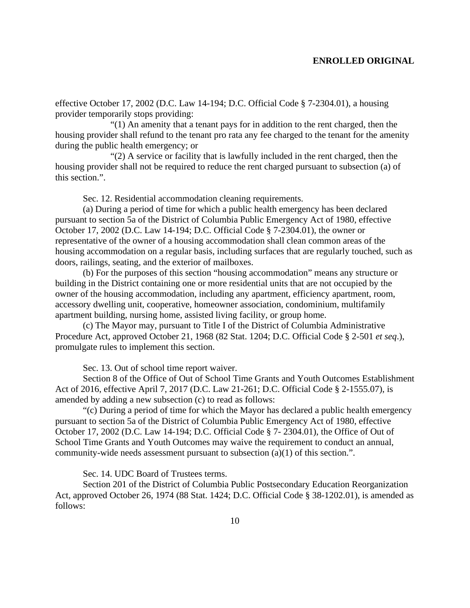effective October 17, 2002 (D.C. Law 14-194; D.C. Official Code § 7-2304.01), a housing provider temporarily stops providing:

"(1) An amenity that a tenant pays for in addition to the rent charged, then the housing provider shall refund to the tenant pro rata any fee charged to the tenant for the amenity during the public health emergency; or

"(2) A service or facility that is lawfully included in the rent charged, then the housing provider shall not be required to reduce the rent charged pursuant to subsection (a) of this section.".

Sec. 12. Residential accommodation cleaning requirements.

(a) During a period of time for which a public health emergency has been declared pursuant to section 5a of the District of Columbia Public Emergency Act of 1980, effective October 17, 2002 (D.C. Law 14-194; D.C. Official Code § 7-2304.01), the owner or representative of the owner of a housing accommodation shall clean common areas of the housing accommodation on a regular basis, including surfaces that are regularly touched, such as doors, railings, seating, and the exterior of mailboxes.

(b) For the purposes of this section "housing accommodation" means any structure or building in the District containing one or more residential units that are not occupied by the owner of the housing accommodation, including any apartment, efficiency apartment, room, accessory dwelling unit, cooperative, homeowner association, condominium, multifamily apartment building, nursing home, assisted living facility, or group home.

(c) The Mayor may, pursuant to Title I of the District of Columbia Administrative Procedure Act, approved October 21, 1968 (82 Stat. 1204; D.C. Official Code § 2-501 *et seq*.), promulgate rules to implement this section.

Sec. 13. Out of school time report waiver.

Section 8 of the Office of Out of School Time Grants and Youth Outcomes Establishment Act of 2016, effective April 7, 2017 (D.C. Law 21-261; D.C. Official Code § 2-1555.07), is amended by adding a new subsection (c) to read as follows:

"(c) During a period of time for which the Mayor has declared a public health emergency pursuant to section 5a of the District of Columbia Public Emergency Act of 1980, effective October 17, 2002 (D.C. Law 14-194; D.C. Official Code § 7- 2304.01), the Office of Out of School Time Grants and Youth Outcomes may waive the requirement to conduct an annual, community-wide needs assessment pursuant to subsection (a)(1) of this section.".

Sec. 14. UDC Board of Trustees terms.

Section 201 of the District of Columbia Public Postsecondary Education Reorganization Act, approved October 26, 1974 (88 Stat. 1424; D.C. Official Code § 38-1202.01), is amended as follows: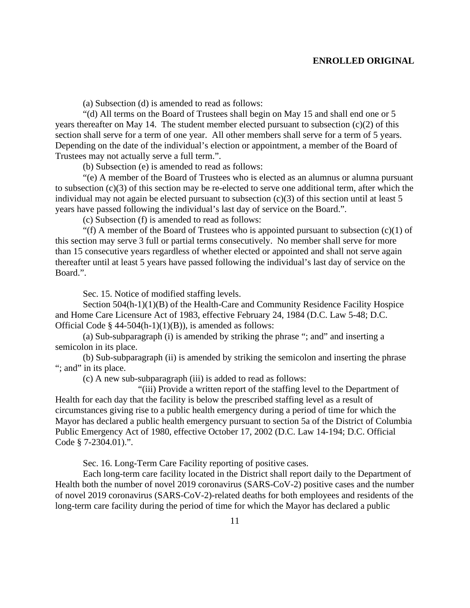(a) Subsection (d) is amended to read as follows:

"(d) All terms on the Board of Trustees shall begin on May 15 and shall end one or 5 years thereafter on May 14. The student member elected pursuant to subsection  $(c)(2)$  of this section shall serve for a term of one year. All other members shall serve for a term of 5 years. Depending on the date of the individual's election or appointment, a member of the Board of Trustees may not actually serve a full term.".

(b) Subsection (e) is amended to read as follows:

"(e) A member of the Board of Trustees who is elected as an alumnus or alumna pursuant to subsection (c)(3) of this section may be re-elected to serve one additional term, after which the individual may not again be elected pursuant to subsection (c)(3) of this section until at least 5 years have passed following the individual's last day of service on the Board.".

(c) Subsection (f) is amended to read as follows:

"(f) A member of the Board of Trustees who is appointed pursuant to subsection  $(c)(1)$  of this section may serve 3 full or partial terms consecutively. No member shall serve for more than 15 consecutive years regardless of whether elected or appointed and shall not serve again thereafter until at least 5 years have passed following the individual's last day of service on the Board.".

Sec. 15. Notice of modified staffing levels.

Section 504(h-1)(1)(B) of the Health-Care and Community Residence Facility Hospice and Home Care Licensure Act of 1983, effective February 24, 1984 (D.C. Law 5-48; D.C. Official Code  $\S$  44-504(h-1)(1)(B)), is amended as follows:

(a) Sub-subparagraph (i) is amended by striking the phrase "; and" and inserting a semicolon in its place.

(b) Sub-subparagraph (ii) is amended by striking the semicolon and inserting the phrase "; and" in its place.

(c) A new sub-subparagraph (iii) is added to read as follows:

"(iii) Provide a written report of the staffing level to the Department of Health for each day that the facility is below the prescribed staffing level as a result of circumstances giving rise to a public health emergency during a period of time for which the Mayor has declared a public health emergency pursuant to section 5a of the District of Columbia Public Emergency Act of 1980, effective October 17, 2002 (D.C. Law 14-194; D.C. Official Code § 7-2304.01).".

Sec. 16. Long-Term Care Facility reporting of positive cases.

Each long-term care facility located in the District shall report daily to the Department of Health both the number of novel 2019 coronavirus (SARS-CoV-2) positive cases and the number of novel 2019 coronavirus (SARS-CoV-2)-related deaths for both employees and residents of the long-term care facility during the period of time for which the Mayor has declared a public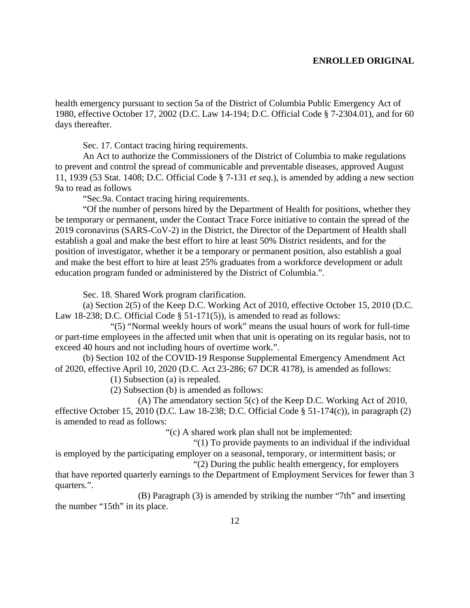health emergency pursuant to section 5a of the District of Columbia Public Emergency Act of 1980, effective October 17, 2002 (D.C. Law 14-194; D.C. Official Code § 7-2304.01), and for 60 days thereafter.

Sec. 17. Contact tracing hiring requirements.

An Act to authorize the Commissioners of the District of Columbia to make regulations to prevent and control the spread of communicable and preventable diseases, approved August 11, 1939 (53 Stat. 1408; D.C. Official Code § 7-131 *et seq*.), is amended by adding a new section 9a to read as follows

"Sec.9a. Contact tracing hiring requirements.

"Of the number of persons hired by the Department of Health for positions, whether they be temporary or permanent, under the Contact Trace Force initiative to contain the spread of the 2019 coronavirus (SARS-CoV-2) in the District, the Director of the Department of Health shall establish a goal and make the best effort to hire at least 50% District residents, and for the position of investigator, whether it be a temporary or permanent position, also establish a goal and make the best effort to hire at least 25% graduates from a workforce development or adult education program funded or administered by the District of Columbia.".

Sec. 18. Shared Work program clarification.

(a) Section 2(5) of the Keep D.C. Working Act of 2010, effective October 15, 2010 (D.C. Law 18-238; D.C. Official Code § 51-171(5)), is amended to read as follows:

"(5) "Normal weekly hours of work" means the usual hours of work for full-time or part-time employees in the affected unit when that unit is operating on its regular basis, not to exceed 40 hours and not including hours of overtime work.".

(b) Section 102 of the COVID-19 Response Supplemental Emergency Amendment Act of 2020, effective April 10, 2020 (D.C. Act 23-286; 67 DCR 4178), is amended as follows:

(1) Subsection (a) is repealed.

(2) Subsection (b) is amended as follows:

(A) The amendatory section 5(c) of the Keep D.C. Working Act of 2010, effective October 15, 2010 (D.C. Law 18-238; D.C. Official Code § 51-174(c)), in paragraph (2) is amended to read as follows:

"(c) A shared work plan shall not be implemented:

"(1) To provide payments to an individual if the individual

is employed by the participating employer on a seasonal, temporary, or intermittent basis; or "(2) During the public health emergency, for employers

that have reported quarterly earnings to the Department of Employment Services for fewer than 3 quarters.".

(B) Paragraph (3) is amended by striking the number "7th" and inserting the number "15th" in its place.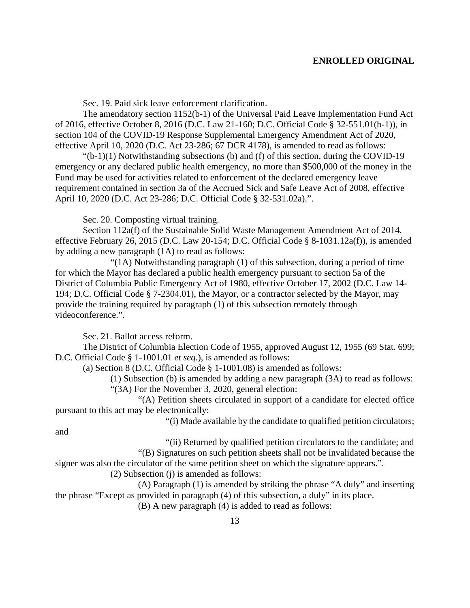Sec. 19. Paid sick leave enforcement clarification.

The amendatory section 1152(b-1) of the Universal Paid Leave Implementation Fund Act of 2016, effective October 8, 2016 (D.C. Law 21-160; D.C. Official Code § 32-551.01(b-1)), in section 104 of the COVID-19 Response Supplemental Emergency Amendment Act of 2020, effective April 10, 2020 (D.C. Act 23-286; 67 DCR 4178), is amended to read as follows:

" $(b-1)(1)$  Notwithstanding subsections (b) and (f) of this section, during the COVID-19 emergency or any declared public health emergency, no more than \$500,000 of the money in the Fund may be used for activities related to enforcement of the declared emergency leave requirement contained in section 3a of the Accrued Sick and Safe Leave Act of 2008, effective April 10, 2020 (D.C. Act 23-286; D.C. Official Code § 32-531.02a).".

Sec. 20. Composting virtual training.

Section 112a(f) of the Sustainable Solid Waste Management Amendment Act of 2014, effective February 26, 2015 (D.C. Law 20-154; D.C. Official Code § 8-1031.12a(f)), is amended by adding a new paragraph (1A) to read as follows:

"(1A) Notwithstanding paragraph (1) of this subsection, during a period of time for which the Mayor has declared a public health emergency pursuant to section 5a of the District of Columbia Public Emergency Act of 1980, effective October 17, 2002 (D.C. Law 14- 194; D.C. Official Code § 7-2304.01), the Mayor, or a contractor selected by the Mayor, may provide the training required by paragraph (1) of this subsection remotely through videoconference.".

Sec. 21. Ballot access reform.

The District of Columbia Election Code of 1955, approved August 12, 1955 (69 Stat. 699; D.C. Official Code § 1-1001.01 *et seq.*), is amended as follows:

(a) Section 8 (D.C. Official Code § 1-1001.08) is amended as follows:

(1) Subsection (b) is amended by adding a new paragraph (3A) to read as follows: "(3A) For the November 3, 2020, general election:

"(A) Petition sheets circulated in support of a candidate for elected office pursuant to this act may be electronically:

"(i) Made available by the candidate to qualified petition circulators;

and

"(ii) Returned by qualified petition circulators to the candidate; and "(B) Signatures on such petition sheets shall not be invalidated because the signer was also the circulator of the same petition sheet on which the signature appears.".

(2) Subsection (j) is amended as follows:

(A) Paragraph (1) is amended by striking the phrase "A duly" and inserting the phrase "Except as provided in paragraph (4) of this subsection, a duly" in its place.

(B) A new paragraph (4) is added to read as follows: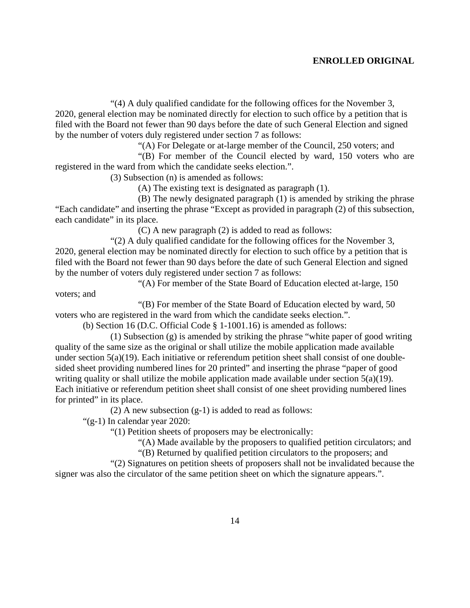"(4) A duly qualified candidate for the following offices for the November 3, 2020, general election may be nominated directly for election to such office by a petition that is filed with the Board not fewer than 90 days before the date of such General Election and signed by the number of voters duly registered under section 7 as follows:

"(A) For Delegate or at-large member of the Council, 250 voters; and

"(B) For member of the Council elected by ward, 150 voters who are registered in the ward from which the candidate seeks election.".

(3) Subsection (n) is amended as follows:

(A) The existing text is designated as paragraph (1).

(B) The newly designated paragraph (1) is amended by striking the phrase "Each candidate" and inserting the phrase "Except as provided in paragraph (2) of this subsection, each candidate" in its place.

(C) A new paragraph (2) is added to read as follows:

"(2) A duly qualified candidate for the following offices for the November 3, 2020, general election may be nominated directly for election to such office by a petition that is filed with the Board not fewer than 90 days before the date of such General Election and signed by the number of voters duly registered under section 7 as follows:

"(A) For member of the State Board of Education elected at-large, 150

"(B) For member of the State Board of Education elected by ward, 50 voters who are registered in the ward from which the candidate seeks election.".

(b) Section 16 (D.C. Official Code § 1-1001.16) is amended as follows:

(1) Subsection (g) is amended by striking the phrase "white paper of good writing quality of the same size as the original or shall utilize the mobile application made available under section 5(a)(19). Each initiative or referendum petition sheet shall consist of one doublesided sheet providing numbered lines for 20 printed" and inserting the phrase "paper of good writing quality or shall utilize the mobile application made available under section  $5(a)(19)$ . Each initiative or referendum petition sheet shall consist of one sheet providing numbered lines for printed" in its place.

(2) A new subsection (g-1) is added to read as follows:

"(g-1) In calendar year 2020:

voters; and

"(1) Petition sheets of proposers may be electronically:

"(A) Made available by the proposers to qualified petition circulators; and

"(B) Returned by qualified petition circulators to the proposers; and

"(2) Signatures on petition sheets of proposers shall not be invalidated because the signer was also the circulator of the same petition sheet on which the signature appears.".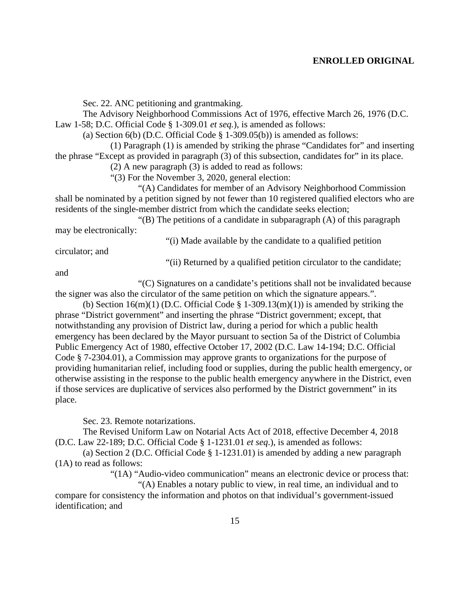Sec. 22. ANC petitioning and grantmaking.

The Advisory Neighborhood Commissions Act of 1976, effective March 26, 1976 (D.C. Law 1-58; D.C. Official Code § 1-309.01 *et seq.*), is amended as follows:

(a) Section  $6(b)$  (D.C. Official Code § 1-309.05(b)) is amended as follows:

(1) Paragraph (1) is amended by striking the phrase "Candidates for" and inserting the phrase "Except as provided in paragraph (3) of this subsection, candidates for" in its place.

(2) A new paragraph (3) is added to read as follows:

"(3) For the November 3, 2020, general election:

"(A) Candidates for member of an Advisory Neighborhood Commission shall be nominated by a petition signed by not fewer than 10 registered qualified electors who are residents of the single-member district from which the candidate seeks election;

"(B) The petitions of a candidate in subparagraph (A) of this paragraph may be electronically:

"(i) Made available by the candidate to a qualified petition

circulator; and

"(ii) Returned by a qualified petition circulator to the candidate;

and

"(C) Signatures on a candidate's petitions shall not be invalidated because the signer was also the circulator of the same petition on which the signature appears.".

(b) Section 16(m)(1) (D.C. Official Code  $\S$  1-309.13(m)(1)) is amended by striking the phrase "District government" and inserting the phrase "District government; except, that notwithstanding any provision of District law, during a period for which a public health emergency has been declared by the Mayor pursuant to section 5a of the District of Columbia Public Emergency Act of 1980, effective October 17, 2002 (D.C. Law 14-194; D.C. Official Code § 7-2304.01), a Commission may approve grants to organizations for the purpose of providing humanitarian relief, including food or supplies, during the public health emergency, or otherwise assisting in the response to the public health emergency anywhere in the District, even if those services are duplicative of services also performed by the District government" in its place.

Sec. 23. Remote notarizations.

The Revised Uniform Law on Notarial Acts Act of 2018, effective December 4, 2018 (D.C. Law 22-189; D.C. Official Code § 1-1231.01 *et seq*.), is amended as follows:

(a) Section 2 (D.C. Official Code § 1-1231.01) is amended by adding a new paragraph (1A) to read as follows:

"(1A) "Audio-video communication" means an electronic device or process that: "(A) Enables a notary public to view, in real time, an individual and to

compare for consistency the information and photos on that individual's government-issued identification; and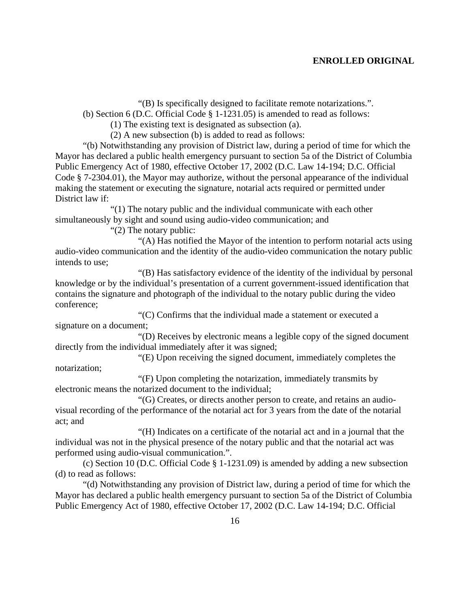"(B) Is specifically designed to facilitate remote notarizations.".

(b) Section 6 (D.C. Official Code § 1-1231.05) is amended to read as follows:

(1) The existing text is designated as subsection (a).

(2) A new subsection (b) is added to read as follows:

"(b) Notwithstanding any provision of District law, during a period of time for which the Mayor has declared a public health emergency pursuant to section 5a of the District of Columbia Public Emergency Act of 1980, effective October 17, 2002 (D.C. Law 14-194; D.C. Official Code § 7-2304.01), the Mayor may authorize, without the personal appearance of the individual making the statement or executing the signature, notarial acts required or permitted under District law if:

"(1) The notary public and the individual communicate with each other simultaneously by sight and sound using audio-video communication; and

"(2) The notary public:

"(A) Has notified the Mayor of the intention to perform notarial acts using audio-video communication and the identity of the audio-video communication the notary public intends to use;

"(B) Has satisfactory evidence of the identity of the individual by personal knowledge or by the individual's presentation of a current government-issued identification that contains the signature and photograph of the individual to the notary public during the video conference;

"(C) Confirms that the individual made a statement or executed a signature on a document;

"(D) Receives by electronic means a legible copy of the signed document directly from the individual immediately after it was signed;

"(E) Upon receiving the signed document, immediately completes the notarization;

"(F) Upon completing the notarization, immediately transmits by electronic means the notarized document to the individual;

"(G) Creates, or directs another person to create, and retains an audiovisual recording of the performance of the notarial act for 3 years from the date of the notarial act; and

"(H) Indicates on a certificate of the notarial act and in a journal that the individual was not in the physical presence of the notary public and that the notarial act was performed using audio-visual communication.".

(c) Section 10 (D.C. Official Code § 1-1231.09) is amended by adding a new subsection (d) to read as follows:

"(d) Notwithstanding any provision of District law, during a period of time for which the Mayor has declared a public health emergency pursuant to section 5a of the District of Columbia Public Emergency Act of 1980, effective October 17, 2002 (D.C. Law 14-194; D.C. Official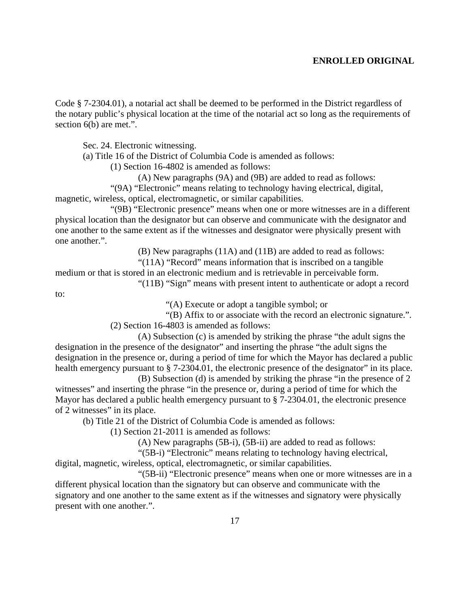Code § 7-2304.01), a notarial act shall be deemed to be performed in the District regardless of the notary public's physical location at the time of the notarial act so long as the requirements of section 6(b) are met.".

Sec. 24. Electronic witnessing.

(a) Title 16 of the District of Columbia Code is amended as follows:

(1) Section 16-4802 is amended as follows:

(A) New paragraphs (9A) and (9B) are added to read as follows:

"(9A) "Electronic" means relating to technology having electrical, digital, magnetic, wireless, optical, electromagnetic, or similar capabilities.

"(9B) "Electronic presence" means when one or more witnesses are in a different physical location than the designator but can observe and communicate with the designator and one another to the same extent as if the witnesses and designator were physically present with one another.".

(B) New paragraphs (11A) and (11B) are added to read as follows:

"(11A) "Record" means information that is inscribed on a tangible

medium or that is stored in an electronic medium and is retrievable in perceivable form.

"(11B) "Sign" means with present intent to authenticate or adopt a record

to:

"(A) Execute or adopt a tangible symbol; or

"(B) Affix to or associate with the record an electronic signature.".

(2) Section 16-4803 is amended as follows:

(A) Subsection (c) is amended by striking the phrase "the adult signs the designation in the presence of the designator" and inserting the phrase "the adult signs the designation in the presence or, during a period of time for which the Mayor has declared a public health emergency pursuant to § 7-2304.01, the electronic presence of the designator" in its place.

(B) Subsection (d) is amended by striking the phrase "in the presence of 2 witnesses" and inserting the phrase "in the presence or, during a period of time for which the Mayor has declared a public health emergency pursuant to § 7-2304.01, the electronic presence of 2 witnesses" in its place.

(b) Title 21 of the District of Columbia Code is amended as follows:

(1) Section 21-2011 is amended as follows:

(A) New paragraphs (5B-i), (5B-ii) are added to read as follows:

"(5B-i) "Electronic" means relating to technology having electrical, digital, magnetic, wireless, optical, electromagnetic, or similar capabilities.

"(5B-ii) "Electronic presence" means when one or more witnesses are in a different physical location than the signatory but can observe and communicate with the signatory and one another to the same extent as if the witnesses and signatory were physically present with one another.".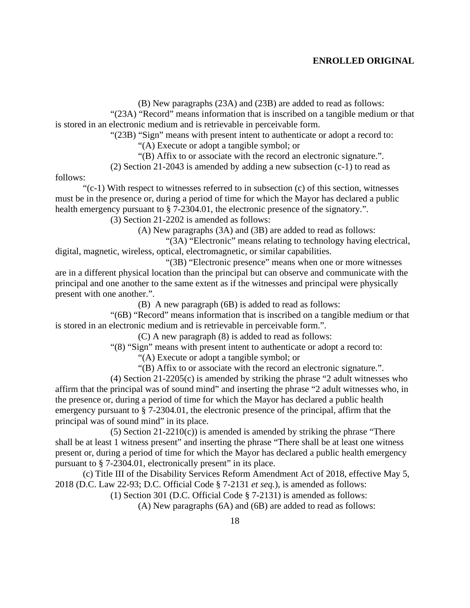(B) New paragraphs (23A) and (23B) are added to read as follows:

"(23A) "Record" means information that is inscribed on a tangible medium or that is stored in an electronic medium and is retrievable in perceivable form.

"(23B) "Sign" means with present intent to authenticate or adopt a record to:

"(A) Execute or adopt a tangible symbol; or

"(B) Affix to or associate with the record an electronic signature.".

(2) Section 21-2043 is amended by adding a new subsection (c-1) to read as

follows:

 $\degree$  (c-1) With respect to witnesses referred to in subsection (c) of this section, witnesses must be in the presence or, during a period of time for which the Mayor has declared a public health emergency pursuant to § 7-2304.01, the electronic presence of the signatory.".

(3) Section 21-2202 is amended as follows:

(A) New paragraphs (3A) and (3B) are added to read as follows:

"(3A) "Electronic" means relating to technology having electrical, digital, magnetic, wireless, optical, electromagnetic, or similar capabilities.

"(3B) "Electronic presence" means when one or more witnesses are in a different physical location than the principal but can observe and communicate with the principal and one another to the same extent as if the witnesses and principal were physically present with one another.".

(B) A new paragraph (6B) is added to read as follows:

"(6B) "Record" means information that is inscribed on a tangible medium or that is stored in an electronic medium and is retrievable in perceivable form.".

(C) A new paragraph (8) is added to read as follows:

"(8) "Sign" means with present intent to authenticate or adopt a record to:

"(A) Execute or adopt a tangible symbol; or

"(B) Affix to or associate with the record an electronic signature.".

(4) Section 21-2205(c) is amended by striking the phrase "2 adult witnesses who affirm that the principal was of sound mind" and inserting the phrase "2 adult witnesses who, in the presence or, during a period of time for which the Mayor has declared a public health emergency pursuant to § 7-2304.01, the electronic presence of the principal, affirm that the principal was of sound mind" in its place.

(5) Section  $21-2210(c)$  is amended is amended by striking the phrase "There shall be at least 1 witness present" and inserting the phrase "There shall be at least one witness present or, during a period of time for which the Mayor has declared a public health emergency pursuant to § 7-2304.01, electronically present" in its place.

(c) Title III of the Disability Services Reform Amendment Act of 2018, effective May 5, 2018 (D.C. Law 22-93; D.C. Official Code § 7-2131 *et seq.*), is amended as follows:

(1) Section 301 (D.C. Official Code § 7-2131) is amended as follows:

(A) New paragraphs (6A) and (6B) are added to read as follows: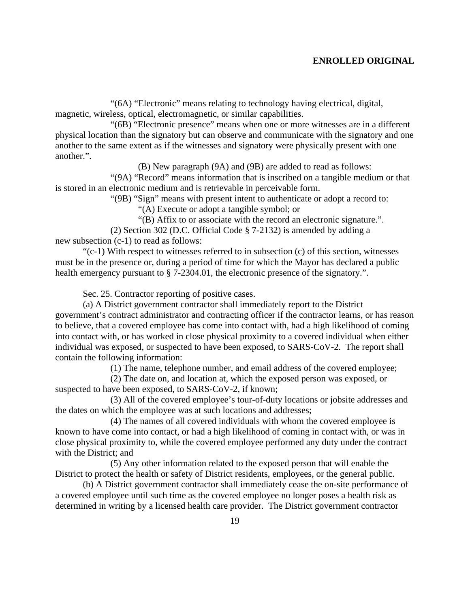"(6A) "Electronic" means relating to technology having electrical, digital, magnetic, wireless, optical, electromagnetic, or similar capabilities.

"(6B) "Electronic presence" means when one or more witnesses are in a different physical location than the signatory but can observe and communicate with the signatory and one another to the same extent as if the witnesses and signatory were physically present with one another.".

(B) New paragraph (9A) and (9B) are added to read as follows:

"(9A) "Record" means information that is inscribed on a tangible medium or that is stored in an electronic medium and is retrievable in perceivable form.

"(9B) "Sign" means with present intent to authenticate or adopt a record to:

"(A) Execute or adopt a tangible symbol; or

"(B) Affix to or associate with the record an electronic signature.".

(2) Section 302 (D.C. Official Code § 7-2132) is amended by adding a new subsection (c-1) to read as follows:

"(c-1) With respect to witnesses referred to in subsection (c) of this section, witnesses must be in the presence or, during a period of time for which the Mayor has declared a public health emergency pursuant to § 7-2304.01, the electronic presence of the signatory.".

Sec. 25. Contractor reporting of positive cases.

(a) A District government contractor shall immediately report to the District government's contract administrator and contracting officer if the contractor learns, or has reason to believe, that a covered employee has come into contact with, had a high likelihood of coming into contact with, or has worked in close physical proximity to a covered individual when either individual was exposed, or suspected to have been exposed, to SARS-CoV-2. The report shall contain the following information:

(1) The name, telephone number, and email address of the covered employee;

(2) The date on, and location at, which the exposed person was exposed, or suspected to have been exposed, to SARS-CoV-2, if known;

(3) All of the covered employee's tour-of-duty locations or jobsite addresses and the dates on which the employee was at such locations and addresses;

(4) The names of all covered individuals with whom the covered employee is known to have come into contact, or had a high likelihood of coming in contact with, or was in close physical proximity to, while the covered employee performed any duty under the contract with the District; and

(5) Any other information related to the exposed person that will enable the District to protect the health or safety of District residents, employees, or the general public.

(b) A District government contractor shall immediately cease the on-site performance of a covered employee until such time as the covered employee no longer poses a health risk as determined in writing by a licensed health care provider. The District government contractor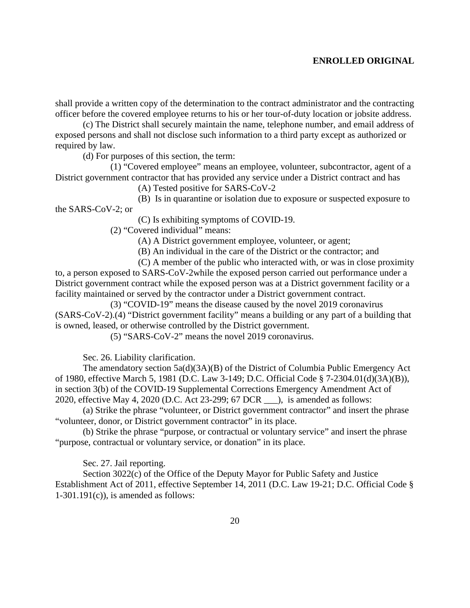shall provide a written copy of the determination to the contract administrator and the contracting officer before the covered employee returns to his or her tour-of-duty location or jobsite address.

(c) The District shall securely maintain the name, telephone number, and email address of exposed persons and shall not disclose such information to a third party except as authorized or required by law.

(d) For purposes of this section, the term:

(1) "Covered employee" means an employee, volunteer, subcontractor, agent of a District government contractor that has provided any service under a District contract and has

(A) Tested positive for SARS-CoV-2

(B) Is in quarantine or isolation due to exposure or suspected exposure to the SARS-CoV-2; or

(C) Is exhibiting symptoms of COVID-19.

(2) "Covered individual" means:

(A) A District government employee, volunteer, or agent;

(B) An individual in the care of the District or the contractor; and

(C) A member of the public who interacted with, or was in close proximity to, a person exposed to SARS-CoV-2while the exposed person carried out performance under a District government contract while the exposed person was at a District government facility or a facility maintained or served by the contractor under a District government contract.

(3) "COVID-19" means the disease caused by the novel 2019 coronavirus (SARS-CoV-2).(4) "District government facility" means a building or any part of a building that is owned, leased, or otherwise controlled by the District government.

(5) "SARS-CoV-2" means the novel 2019 coronavirus.

Sec. 26. Liability clarification.

The amendatory section 5a(d)(3A)(B) of the District of Columbia Public Emergency Act of 1980, effective March 5, 1981 (D.C. Law 3-149; D.C. Official Code § 7-2304.01(d)(3A)(B)), in section 3(b) of the COVID-19 Supplemental Corrections Emergency Amendment Act of 2020, effective May 4, 2020 (D.C. Act 23-299; 67 DCR \_\_\_), is amended as follows:

(a) Strike the phrase "volunteer, or District government contractor" and insert the phrase "volunteer, donor, or District government contractor" in its place.

(b) Strike the phrase "purpose, or contractual or voluntary service" and insert the phrase "purpose, contractual or voluntary service, or donation" in its place.

Sec. 27. Jail reporting.

Section 3022(c) of the Office of the Deputy Mayor for Public Safety and Justice Establishment Act of 2011, effective September 14, 2011 (D.C. Law 19-21; D.C. Official Code §  $1-301.191(c)$ , is amended as follows: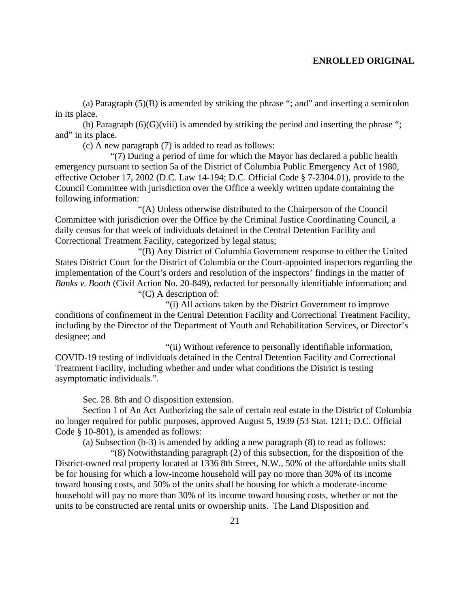(a) Paragraph  $(5)(B)$  is amended by striking the phrase "; and" and inserting a semicolon in its place.

(b) Paragraph  $(6)(G)(viii)$  is amended by striking the period and inserting the phrase "; and" in its place.

(c) A new paragraph (7) is added to read as follows:

"(7) During a period of time for which the Mayor has declared a public health emergency pursuant to section 5a of the District of Columbia Public Emergency Act of 1980, effective October 17, 2002 (D.C. Law 14-194; D.C. Official Code § 7-2304.01), provide to the Council Committee with jurisdiction over the Office a weekly written update containing the following information:

"(A) Unless otherwise distributed to the Chairperson of the Council Committee with jurisdiction over the Office by the Criminal Justice Coordinating Council, a daily census for that week of individuals detained in the Central Detention Facility and Correctional Treatment Facility, categorized by legal status;

"(B) Any District of Columbia Government response to either the United States District Court for the District of Columbia or the Court-appointed inspectors regarding the implementation of the Court's orders and resolution of the inspectors' findings in the matter of *Banks v. Booth* (Civil Action No. 20-849), redacted for personally identifiable information; and "(C) A description of:

"(i) All actions taken by the District Government to improve conditions of confinement in the Central Detention Facility and Correctional Treatment Facility, including by the Director of the Department of Youth and Rehabilitation Services, or Director's designee; and

"(ii) Without reference to personally identifiable information, COVID-19 testing of individuals detained in the Central Detention Facility and Correctional Treatment Facility, including whether and under what conditions the District is testing asymptomatic individuals.".

Sec. 28. 8th and O disposition extension.

Section 1 of An Act Authorizing the sale of certain real estate in the District of Columbia no longer required for public purposes, approved August 5, 1939 (53 Stat. 1211; D.C. Official Code § 10-801), is amended as follows:

(a) Subsection (b-3) is amended by adding a new paragraph (8) to read as follows:

"(8) Notwithstanding paragraph (2) of this subsection, for the disposition of the District-owned real property located at 1336 8th Street, N.W., 50% of the affordable units shall be for housing for which a low-income household will pay no more than 30% of its income toward housing costs, and 50% of the units shall be housing for which a moderate-income household will pay no more than 30% of its income toward housing costs, whether or not the units to be constructed are rental units or ownership units. The Land Disposition and